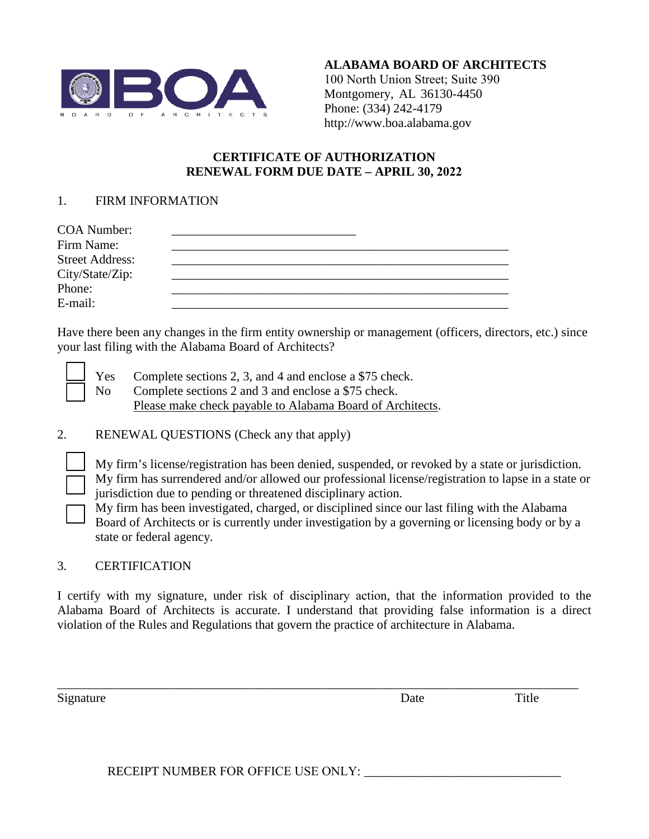

**ALABAMA BOARD OF ARCHITECTS**  100 North Union Street; Suite 390 Montgomery, AL 36130-4450 Phone: (334) 242-4179 http://www.boa.alabama.gov

## **CERTIFICATE OF AUTHORIZATION RENEWAL FORM DUE DATE – APRIL 30, 2022**

## 1. FIRM INFORMATION

| <b>COA Number:</b>     |  |  |
|------------------------|--|--|
| Firm Name:             |  |  |
| <b>Street Address:</b> |  |  |
| City/State/Zip:        |  |  |
| Phone:                 |  |  |
| E-mail:                |  |  |

Have there been any changes in the firm entity ownership or management (officers, directors, etc.) since your last filing with the Alabama Board of Architects?

Yes Complete sections 2, 3, and 4 and enclose a \$75 check. No Complete sections 2 and 3 and enclose a \$75 check. Please make check payable to Alabama Board of Architects.

2. RENEWAL QUESTIONS (Check any that apply)

My firm's license/registration has been denied, suspended, or revoked by a state or jurisdiction.

My firm has surrendered and/or allowed our professional license/registration to lapse in a state or jurisdiction due to pending or threatened disciplinary action.

My firm has been investigated, charged, or disciplined since our last filing with the Alabama Board of Architects or is currently under investigation by a governing or licensing body or by a state or federal agency.

## 3. CERTIFICATION

I certify with my signature, under risk of disciplinary action, that the information provided to the Alabama Board of Architects is accurate. I understand that providing false information is a direct violation of the Rules and Regulations that govern the practice of architecture in Alabama.

\_\_\_\_\_\_\_\_\_\_\_\_\_\_\_\_\_\_\_\_\_\_\_\_\_\_\_\_\_\_\_\_\_\_\_\_\_\_\_\_\_\_\_\_\_\_\_\_\_\_\_\_\_\_\_\_\_\_\_\_\_\_\_\_\_\_\_\_\_\_\_\_\_\_\_\_\_\_\_\_\_\_

Signature Title